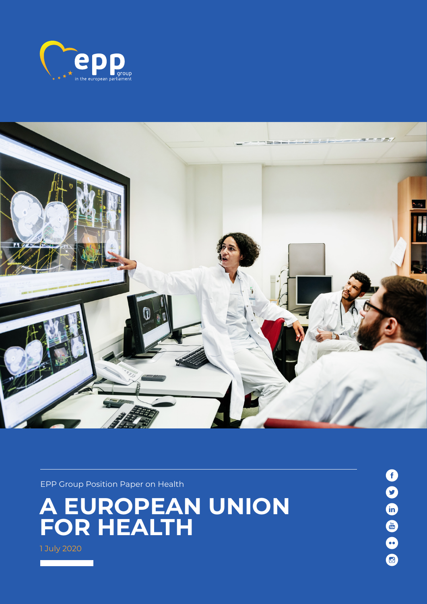



EPP Group Position Paper on Health

**A European Union for Health**

1 July 2020

806669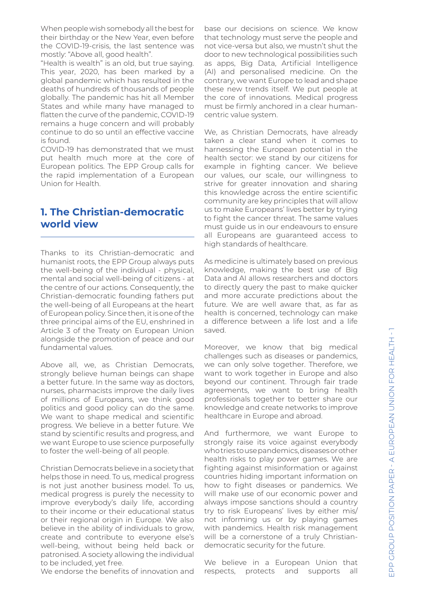When people wish somebody all the best for their birthday or the New Year, even before the COVID-19-crisis, the last sentence was mostly: "Above all, good health".

"Health is wealth" is an old, but true saying. This year, 2020, has been marked by a global pandemic which has resulted in the deaths of hundreds of thousands of people globally. The pandemic has hit all Member States and while many have managed to flatten the curve of the pandemic, COVID-19 remains a huge concern and will probably continue to do so until an effective vaccine is found.

COVID-19 has demonstrated that we must put health much more at the core of European politics. The EPP Group calls for the rapid implementation of a European Union for Health.

### **1. The Christian-democratic world view**

Thanks to its Christian-democratic and humanist roots, the EPP Group always puts the well-being of the individual - physical, mental and social well-being of citizens - at the centre of our actions. Consequently, the Christian-democratic founding fathers put the well-being of all Europeans at the heart of European policy. Since then, it is one of the three principal aims of the EU, enshrined in Article 3 of the Treaty on European Union alongside the promotion of peace and our fundamental values.

Above all, we, as Christian Democrats, strongly believe human beings can shape a better future. In the same way as doctors, nurses, pharmacists improve the daily lives of millions of Europeans, we think good politics and good policy can do the same. We want to shape medical and scientific progress. We believe in a better future. We stand by scientific results and progress, and we want Europe to use science purposefully to foster the well-being of all people.

Christian Democrats believe in a society that helps those in need. To us, medical progress is not just another business model. To us, medical progress is purely the necessity to improve everybody's daily life, according to their income or their educational status or their regional origin in Europe. We also believe in the ability of individuals to grow, create and contribute to everyone else's well-being, without being held back or patronised. A society allowing the individual to be included, yet free.

We endorse the benefits of innovation and

base our decisions on science. We know that technology must serve the people and not vice-versa but also, we mustn't shut the door to new technological possibilities such as apps, Big Data, Artificial Intelligence (AI) and personalised medicine. On the contrary, we want Europe to lead and shape these new trends itself. We put people at the core of innovations. Medical progress must be firmly anchored in a clear humancentric value system.

We, as Christian Democrats, have already taken a clear stand when it comes to harnessing the European potential in the health sector: we stand by our citizens for example in fighting cancer. We believe our values, our scale, our willingness to strive for greater innovation and sharing this knowledge across the entire scientific community are key principles that will allow us to make Europeans' lives better by trying to fight the cancer threat. The same values must guide us in our endeavours to ensure all Europeans are guaranteed access to high standards of healthcare.

As medicine is ultimately based on previous knowledge, making the best use of Big Data and AI allows researchers and doctors to directly query the past to make quicker and more accurate predictions about the future. We are well aware that, as far as health is concerned, technology can make a difference between a life lost and a life saved.

Moreover, we know that big medical challenges such as diseases or pandemics, we can only solve together. Therefore, we want to work together in Europe and also beyond our continent. Through fair trade agreements, we want to bring health professionals together to better share our knowledge and create networks to improve healthcare in Europe and abroad.

And furthermore, we want Europe to strongly raise its voice against everybody who tries to use pandemics, diseases or other health risks to play power games. We are fighting against misinformation or against countries hiding important information on how to fight diseases or pandemics. We will make use of our economic power and always impose sanctions should a country try to risk Europeans' lives by either mis/ not informing us or by playing games with pandemics. Health risk management will be a cornerstone of a truly Christiandemocratic security for the future.

We believe in a European Union that respects, protects and supports all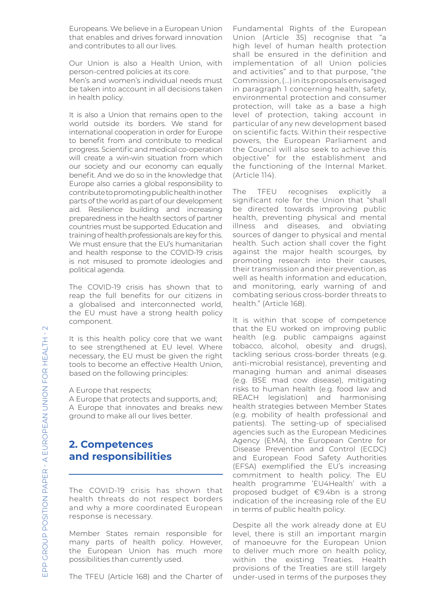Europeans. We believe in a European Union that enables and drives forward innovation and contributes to all our lives.

Our Union is also a Health Union, with person-centred policies at its core.

Men's and women's individual needs must be taken into account in all decisions taken in health policy.

It is also a Union that remains open to the world outside its borders. We stand for international cooperation in order for Europe to benefit from and contribute to medical progress. Scientific and medical co-operation will create a win-win situation from which our society and our economy can equally benefit. And we do so in the knowledge that Europe also carries a global responsibility to contribute to promoting public health in other parts of the world as part of our development aid. Resilience building and increasing preparedness in the health sectors of partner countries must be supported. Education and training of health professionals are key for this. We must ensure that the EU's humanitarian and health response to the COVID-19 crisis is not misused to promote ideologies and political agenda.

The COVID-19 crisis has shown that to reap the full benefits for our citizens in a globalised and interconnected world, the EU must have a strong health policy component.

It is this health policy core that we want to see strengthened at EU level. Where necessary, the EU must be given the right tools to become an effective Health Union, based on the following principles:

A Europe that respects;

A Europe that protects and supports, and; A Europe that innovates and breaks new ground to make all our lives better.

## **2. Competences and responsibilities**

The COVID-19 crisis has shown that health threats do not respect borders and why a more coordinated European response is necessary.

Member States remain responsible for many parts of health policy. However, the European Union has much more possibilities than currently used.

The TFEU (Article 168) and the Charter of

Fundamental Rights of the European Union (Article 35) recognise that "a high level of human health protection shall be ensured in the definition and implementation of all Union policies and activities" and to that purpose, "the Commission, (...) in its proposals envisaged in paragraph 1 concerning health, safety, environmental protection and consumer protection, will take as a base a high level of protection, taking account in particular of any new development based on scientific facts. Within their respective powers, the European Parliament and the Council will also seek to achieve this objective" for the establishment and the functioning of the Internal Market. (Article 114).

The TFEU recognises explicitly a significant role for the Union that "shall be directed towards improving public health, preventing physical and mental illness and diseases, and obviating sources of danger to physical and mental health. Such action shall cover the fight against the major health scourges, by promoting research into their causes, their transmission and their prevention, as well as health information and education, and monitoring, early warning of and combating serious cross-border threats to health." (Article 168).

It is within that scope of competence that the EU worked on improving public health (e.g. public campaigns against tobacco, alcohol, obesity and drugs), tackling serious cross-border threats (e.g. anti-microbial resistance), preventing and managing human and animal diseases (e.g. BSE mad cow disease), mitigating risks to human health (e.g. food law and REACH legislation) and harmonising health strategies between Member States (e.g. mobility of health professional and patients). The setting-up of specialised agencies such as the European Medicines Agency (EMA), the European Centre for Disease Prevention and Control (ECDC) and European Food Safety Authorities (EFSA) exemplified the EU's increasing commitment to health policy. The EU health programme 'EU4Health' with a proposed budget of €9.4bn is a strong indication of the increasing role of the EU in terms of public health policy.

Despite all the work already done at EU level, there is still an important margin of manoeuvre for the European Union to deliver much more on health policy, within the existing Treaties. Health provisions of the Treaties are still largely under-used in terms of the purposes they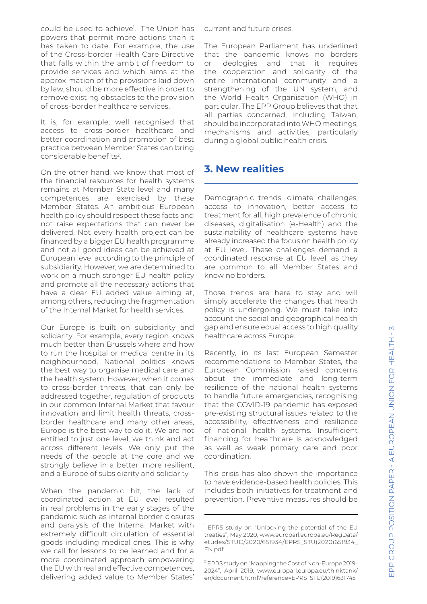could be used to achieve<sup>1</sup>. The Union has powers that permit more actions than it has taken to date. For example, the use of the Cross-border Health Care Directive that falls within the ambit of freedom to provide services and which aims at the approximation of the provisions laid down by law, should be more effective in order to remove existing obstacles to the provision of cross-border healthcare services.

It is, for example, well recognised that access to cross-border healthcare and better coordination and promotion of best practice between Member States can bring considerable benefits2.

On the other hand, we know that most of the financial resources for health systems remains at Member State level and many competences are exercised by these Member States. An ambitious European health policy should respect these facts and not raise expectations that can never be delivered. Not every health project can be financed by a bigger EU health programme and not all good ideas can be achieved at European level according to the principle of subsidiarity. However, we are determined to work on a much stronger EU health policy and promote all the necessary actions that have a clear EU added value aiming at, among others, reducing the fragmentation of the Internal Market for health services.

Our Europe is built on subsidiarity and solidarity. For example, every region knows much better than Brussels where and how to run the hospital or medical centre in its neighbourhood. National politics knows the best way to organise medical care and the health system. However, when it comes to cross-border threats, that can only be addressed together, regulation of products in our common Internal Market that favour innovation and limit health threats, crossborder healthcare and many other areas, Europe is the best way to do it. We are not entitled to just one level, we think and act across different levels. We only put the needs of the people at the core and we strongly believe in a better, more resilient, and a Europe of subsidiarity and solidarity.

When the pandemic hit, the lack of coordinated action at EU level resulted in real problems in the early stages of the pandemic such as internal border closures and paralysis of the Internal Market with extremely difficult circulation of essential goods including medical ones. This is why we call for lessons to be learned and for a more coordinated approach empowering the EU with real and effective competences, delivering added value to Member States'

current and future crises.

The European Parliament has underlined that the pandemic knows no borders or ideologies and that it requires the cooperation and solidarity of the entire international community and a strengthening of the UN system, and the World Health Organisation (WHO) in particular. The EPP Group believes that that all parties concerned, including Taiwan, should be incorporated into WHO meetings, mechanisms and activities, particularly during a global public health crisis.

#### **3. New realities**

Demographic trends, climate challenges, access to innovation, better access to treatment for all, high prevalence of chronic diseases, digitalisation (e-Health) and the sustainability of healthcare systems have already increased the focus on health policy at EU level. These challenges demand a coordinated response at EU level, as they are common to all Member States and know no borders.

Those trends are here to stay and will simply accelerate the changes that health policy is undergoing. We must take into account the social and geographical health gap and ensure equal access to high quality healthcare across Europe.

Recently, in its last European Semester recommendations to Member States, the European Commission raised concerns about the immediate and long-term resilience of the national health systems to handle future emergencies, recognising that the COVID-19 pandemic has exposed pre-existing structural issues related to the accessibility, effectiveness and resilience of national health systems. Insufficient financing for healthcare is acknowledged as well as weak primary care and poor coordination.

This crisis has also shown the importance to have evidence-based health policies. This includes both initiatives for treatment and prevention. Preventive measures should be

2 EPRS study on "Mapping the Cost of Non-Europe 2019- 2024", April 2019, www.europarl.europa.eu/thinktank/ en/document.html?reference=EPRS\_STU(2019)631745

<sup>&</sup>lt;sup>1</sup> EPRS study on "Unlocking the potential of the EU treaties", May 2020, www.europarl.europa.eu/RegData/ etudes/STUD/2020/651934/EPRS\_STU(2020)651934\_ EN.pdf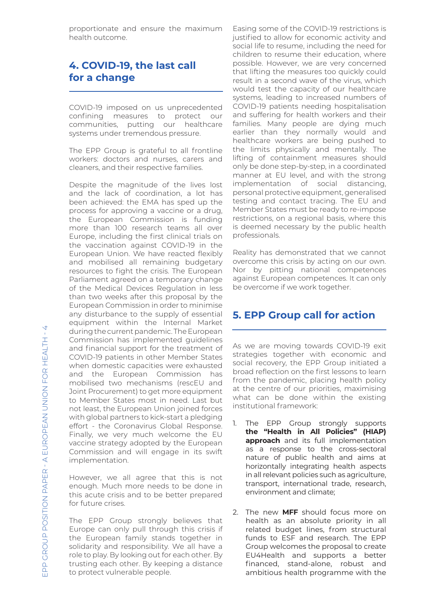proportionate and ensure the maximum health outcome.

# **4. COVID-19, the last call for a change**

COVID-19 imposed on us unprecedented confining measures to protect our communities, putting our healthcare systems under tremendous pressure.

The EPP Group is grateful to all frontline workers: doctors and nurses, carers and cleaners, and their respective families.

Despite the magnitude of the lives lost and the lack of coordination, a lot has been achieved: the EMA has sped up the process for approving a vaccine or a drug, the European Commission is funding more than 100 research teams all over Europe, including the first clinical trials on the vaccination against COVID-19 in the European Union. We have reacted flexibly and mobilised all remaining budgetary resources to fight the crisis. The European Parliament agreed on a temporary change of the Medical Devices Regulation in less than two weeks after this proposal by the European Commission in order to minimise any disturbance to the supply of essential equipment within the Internal Market during the current pandemic. The European Commission has implemented guidelines and financial support for the treatment of COVID-19 patients in other Member States when domestic capacities were exhausted and the European Commission has mobilised two mechanisms (rescEU and Joint Procurement) to get more equipment to Member States most in need. Last but not least, the European Union joined forces with global partners to kick-start a pledging effort - the Coronavirus Global Response. Finally, we very much welcome the EU vaccine strategy adopted by the European Commission and will engage in its swift implementation.

However, we all agree that this is not enough. Much more needs to be done in this acute crisis and to be better prepared for future crises.

The EPP Group strongly believes that Europe can only pull through this crisis if the European family stands together in solidarity and responsibility. We all have a role to play. By looking out for each other. By trusting each other. By keeping a distance to protect vulnerable people.

Easing some of the COVID-19 restrictions is justified to allow for economic activity and social life to resume, including the need for children to resume their education, where possible. However, we are very concerned that lifting the measures too quickly could result in a second wave of the virus, which would test the capacity of our healthcare systems, leading to increased numbers of COVID-19 patients needing hospitalisation and suffering for health workers and their families. Many people are dying much earlier than they normally would and healthcare workers are being pushed to the limits physically and mentally. The lifting of containment measures should only be done step-by-step, in a coordinated manner at EU level, and with the strong implementation of social distancing, personal protective equipment, generalised testing and contact tracing. The EU and Member States must be ready to re-impose restrictions, on a regional basis, where this is deemed necessary by the public health professionals.

Reality has demonstrated that we cannot overcome this crisis by acting on our own. Nor by pitting national competences against European competences. It can only be overcome if we work together.

### **5. EPP Group call for action**

As we are moving towards COVID-19 exit strategies together with economic and social recovery, the EPP Group initiated a broad reflection on the first lessons to learn from the pandemic, placing health policy at the centre of our priorities, maximising what can be done within the existing institutional framework:

- 1. The EPP Group strongly supports **the "Health in All Policies" (HIAP) approach** and its full implementation as a response to the cross-sectoral nature of public health and aims at horizontally integrating health aspects in all relevant policies such as agriculture, transport, international trade, research, environment and climate;
- 2. The new **MFF** should focus more on health as an absolute priority in all related budget lines, from structural funds to ESF and research. The EPP Group welcomes the proposal to create EU4Health and supports a better financed, stand-alone, robust and ambitious health programme with the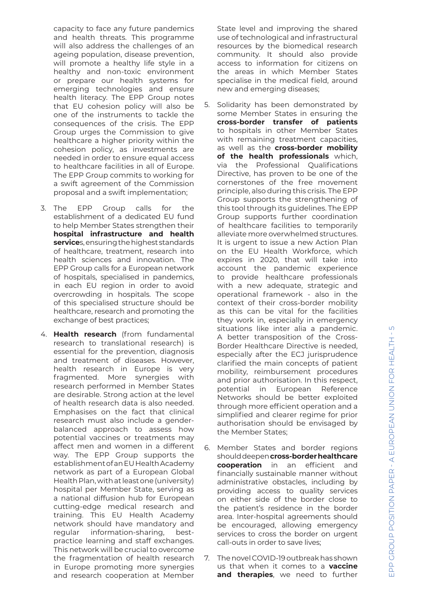capacity to face any future pandemics and health threats. This programme will also address the challenges of an ageing population, disease prevention, will promote a healthy life style in a healthy and non-toxic environment or prepare our health systems for emerging technologies and ensure health literacy. The EPP Group notes that EU cohesion policy will also be one of the instruments to tackle the consequences of the crisis. The EPP Group urges the Commission to give healthcare a higher priority within the cohesion policy, as investments are needed in order to ensure equal access to healthcare facilities in all of Europe. The EPP Group commits to working for a swift agreement of the Commission proposal and a swift implementation;

- 3. The EPP Group calls for the establishment of a dedicated EU fund to help Member States strengthen their **hospital infrastructure and health service**s, ensuring the highest standards of healthcare, treatment, research into health sciences and innovation. The EPP Group calls for a European network of hospitals, specialised in pandemics, in each EU region in order to avoid overcrowding in hospitals. The scope of this specialised structure should be healthcare, research and promoting the exchange of best practices;
- 4. **Health research** (from fundamental research to translational research) is essential for the prevention, diagnosis and treatment of diseases. However, health research in Europe is very fragmented. More synergies with research performed in Member States are desirable. Strong action at the level of health research data is also needed. Emphasises on the fact that clinical research must also include a genderbalanced approach to assess how potential vaccines or treatments may affect men and women in a different way. The EPP Group supports the establishment of an EU Health Academy network as part of a European Global Health Plan, with at least one (university) hospital per Member State, serving as a national diffusion hub for European cutting-edge medical research and training. This EU Health Academy network should have mandatory and regular information-sharing, bestpractice learning and staff exchanges. This network will be crucial to overcome the fragmentation of health research in Europe promoting more synergies and research cooperation at Member

State level and improving the shared use of technological and infrastructural resources by the biomedical research community. It should also provide access to information for citizens on the areas in which Member States specialise in the medical field, around new and emerging diseases;

- 5. Solidarity has been demonstrated by some Member States in ensuring the **cross-border transfer of patients**  to hospitals in other Member States with remaining treatment capacities, as well as the **cross-border mobility of the health professionals** which, via the Professional Qualifications Directive, has proven to be one of the cornerstones of the free movement principle, also during this crisis. The EPP Group supports the strengthening of this tool through its guidelines. The EPP Group supports further coordination of healthcare facilities to temporarily alleviate more overwhelmed structures. It is urgent to issue a new Action Plan on the EU Health Workforce, which expires in 2020, that will take into account the pandemic experience to provide healthcare professionals with a new adequate, strategic and operational framework - also in the context of their cross-border mobility as this can be vital for the facilities they work in, especially in emergency situations like inter alia a pandemic. A better transposition of the Cross-Border Healthcare Directive is needed, especially after the ECJ jurisprudence clarified the main concepts of patient mobility, reimbursement procedures and prior authorisation. In this respect, potential in European Reference Networks should be better exploited through more efficient operation and a simplified and clearer regime for prior authorisation should be envisaged by the Member States;
- 6. Member States and border regions should deepen **cross-border healthcare cooperation** in an efficient and financially sustainable manner without administrative obstacles, including by providing access to quality services on either side of the border close to the patient's residence in the border area. Inter-hospital agreements should be encouraged, allowing emergency services to cross the border on urgent call-outs in order to save lives;
- 7. The novel COVID-19 outbreak has shown us that when it comes to a **vaccine and therapies**, we need to further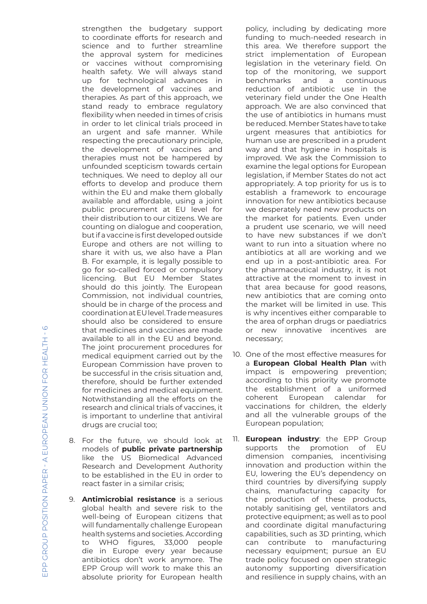strengthen the budgetary support to coordinate efforts for research and science and to further streamline the approval system for medicines or vaccines without compromising health safety. We will always stand up for technological advances in the development of vaccines and therapies. As part of this approach, we stand ready to embrace regulatory flexibility when needed in times of crisis in order to let clinical trials proceed in an urgent and safe manner. While respecting the precautionary principle, the development of vaccines and therapies must not be hampered by unfounded scepticism towards certain techniques. We need to deploy all our efforts to develop and produce them within the EU and make them globally available and affordable, using a joint public procurement at EU level for their distribution to our citizens. We are counting on dialogue and cooperation, but if a vaccine is first developed outside Europe and others are not willing to share it with us, we also have a Plan B. For example, it is legally possible to go for so-called forced or compulsory licencing. But EU Member States should do this jointly. The European Commission, not individual countries, should be in charge of the process and coordination at EU level. Trade measures should also be considered to ensure that medicines and vaccines are made available to all in the EU and beyond. The joint procurement procedures for medical equipment carried out by the European Commission have proven to be successful in the crisis situation and, therefore, should be further extended for medicines and medical equipment. Notwithstanding all the efforts on the research and clinical trials of vaccines, it is important to underline that antiviral drugs are crucial too;

- 8. For the future, we should look at models of **public private partnership**  like the US Biomedical Advanced Research and Development Authority to be established in the EU in order to react faster in a similar crisis;
- 9. **Antimicrobial resistance** is a serious global health and severe risk to the well-being of European citizens that will fundamentally challenge European health systems and societies. According to WHO figures, 33,000 people die in Europe every year because antibiotics don't work anymore. The EPP Group will work to make this an absolute priority for European health

policy, including by dedicating more funding to much-needed research in this area. We therefore support the strict implementation of European legislation in the veterinary field. On top of the monitoring, we support benchmarks and a continuous reduction of antibiotic use in the veterinary field under the One Health approach. We are also convinced that the use of antibiotics in humans must be reduced. Member States have to take urgent measures that antibiotics for human use are prescribed in a prudent way and that hygiene in hospitals is improved. We ask the Commission to examine the legal options for European legislation, if Member States do not act appropriately. A top priority for us is to establish a framework to encourage innovation for new antibiotics because we desperately need new products on the market for patients. Even under a prudent use scenario, we will need to have new substances if we don't want to run into a situation where no antibiotics at all are working and we end up in a post-antibiotic area. For the pharmaceutical industry, it is not attractive at the moment to invest in that area because for good reasons, new antibiotics that are coming onto the market will be limited in use. This is why incentives either comparable to the area of orphan drugs or paediatrics or new innovative incentives are necessary;

- 10. One of the most effective measures for a **European Global Health Plan** with impact is empowering prevention; according to this priority we promote the establishment of a uniformed coherent European calendar for vaccinations for children, the elderly and all the vulnerable groups of the European population;
- 11. **European industry**: the EPP Group supports the promotion of EU dimension companies, incentivising innovation and production within the EU, lowering the EU's dependency on third countries by diversifying supply chains, manufacturing capacity for the production of these products, notably sanitising gel, ventilators and protective equipment; as well as to pool and coordinate digital manufacturing capabilities, such as 3D printing, which can contribute to manufacturing necessary equipment; pursue an EU trade policy focused on open strategic autonomy supporting diversification and resilience in supply chains, with an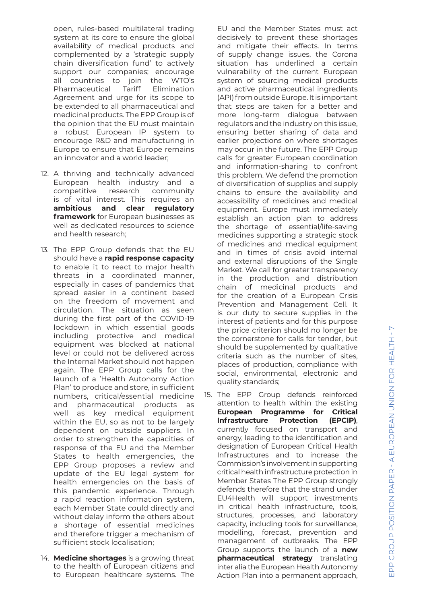open, rules-based multilateral trading system at its core to ensure the global availability of medical products and complemented by a 'strategic supply chain diversification fund' to actively support our companies; encourage all countries to join the WTO's Pharmaceutical Tariff Elimination Agreement and urge for its scope to be extended to all pharmaceutical and medicinal products. The EPP Group is of the opinion that the EU must maintain a robust European IP system to encourage R&D and manufacturing in Europe to ensure that Europe remains an innovator and a world leader;

- 12. A thriving and technically advanced European health industry and a competitive research community is of vital interest. This requires an **ambitious and clear regulatory framework** for European businesses as well as dedicated resources to science and health research;
- 13. The EPP Group defends that the EU should have a **rapid response capacity**  to enable it to react to major health threats in a coordinated manner, especially in cases of pandemics that spread easier in a continent based on the freedom of movement and circulation. The situation as seen during the first part of the COVID-19 lockdown in which essential goods including protective and medical equipment was blocked at national level or could not be delivered across the Internal Market should not happen again. The EPP Group calls for the launch of a 'Health Autonomy Action Plan' to produce and store, in sufficient numbers, critical/essential medicine and pharmaceutical products as well as key medical equipment within the EU, so as not to be largely dependent on outside suppliers. In order to strengthen the capacities of response of the EU and the Member States to health emergencies, the EPP Group proposes a review and update of the EU legal system for health emergencies on the basis of this pandemic experience. Through a rapid reaction information system, each Member State could directly and without delay inform the others about a shortage of essential medicines and therefore trigger a mechanism of sufficient stock localisation;
- 14. **Medicine shortages** is a growing threat to the health of European citizens and to European healthcare systems. The

EU and the Member States must act decisively to prevent these shortages and mitigate their effects. In terms of supply change issues, the Corona situation has underlined a certain vulnerability of the current European system of sourcing medical products and active pharmaceutical ingredients (API) from outside Europe. It is important that steps are taken for a better and more long-term dialogue between regulators and the industry on this issue, ensuring better sharing of data and earlier projections on where shortages may occur in the future. The EPP Group calls for greater European coordination and information-sharing to confront this problem. We defend the promotion of diversification of supplies and supply chains to ensure the availability and accessibility of medicines and medical equipment. Europe must immediately establish an action plan to address the shortage of essential/life-saving medicines supporting a strategic stock of medicines and medical equipment and in times of crisis avoid internal and external disruptions of the Single Market. We call for greater transparency in the production and distribution chain of medicinal products and for the creation of a European Crisis Prevention and Management Cell. It is our duty to secure supplies in the interest of patients and for this purpose the price criterion should no longer be the cornerstone for calls for tender, but should be supplemented by qualitative criteria such as the number of sites, places of production, compliance with social, environmental, electronic and quality standards;

15. The EPP Group defends reinforced attention to health within the existing **European Programme for Critical Infrastructure Protection (EPCIP)**, currently focused on transport and energy, leading to the identification and designation of European Critical Health Infrastructures and to increase the Commission's involvement in supporting critical health infrastructure protection in Member States The EPP Group strongly defends therefore that the strand under EU4Health will support investments in critical health infrastructure, tools, structures, processes, and laboratory capacity, including tools for surveillance, modelling, forecast, prevention and management of outbreaks. The EPP Group supports the launch of a **new pharmaceutical strategy** translating inter alia the European Health Autonomy Action Plan into a permanent approach,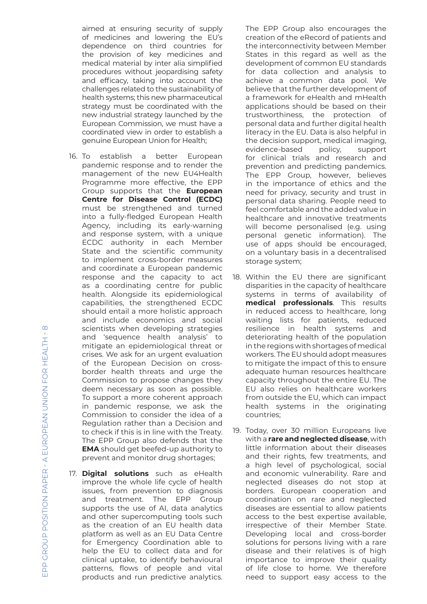aimed at ensuring security of supply of medicines and lowering the EU's dependence on third countries for the provision of key medicines and medical material by inter alia simplified procedures without jeopardising safety and efficacy, taking into account the challenges related to the sustainability of health systems; this new pharmaceutical strategy must be coordinated with the new industrial strategy launched by the European Commission, we must have a coordinated view in order to establish a genuine European Union for Health;

- 16. To establish a better European pandemic response and to render the management of the new EU4Health Programme more effective, the EPP Group supports that the **European Centre for Disease Control (ECDC)** must be strengthened and turned into a fully-fledged European Health Agency, including its early-warning and response system, with a unique ECDC authority in each Member State and the scientific community to implement cross-border measures and coordinate a European pandemic response and the capacity to act as a coordinating centre for public health. Alongside its epidemiological capabilities, the strengthened ECDC should entail a more holistic approach and include economics and social scientists when developing strategies and 'sequence health analysis' to mitigate an epidemiological threat or crises. We ask for an urgent evaluation of the European Decision on crossborder health threats and urge the Commission to propose changes they deem necessary as soon as possible. To support a more coherent approach in pandemic response, we ask the Commission to consider the idea of a Regulation rather than a Decision and to check if this is in line with the Treaty. The EPP Group also defends that the **EMA** should get beefed-up authority to prevent and monitor drug shortages;
- 17. **Digital solutions** such as eHealth improve the whole life cycle of health issues, from prevention to diagnosis and treatment. The EPP Group supports the use of AI, data analytics and other supercomputing tools such as the creation of an EU health data platform as well as an EU Data Centre for Emergency Coordination able to help the EU to collect data and for clinical uptake, to identify behavioural patterns, flows of people and vital products and run predictive analytics.

The EPP Group also encourages the creation of the eRecord of patients and the interconnectivity between Member States in this regard as well as the development of common EU standards for data collection and analysis to achieve a common data pool. We believe that the further development of a framework for eHealth and mHealth applications should be based on their trustworthiness, the protection of personal data and further digital health literacy in the EU. Data is also helpful in the decision support, medical imaging,<br>evidence-based policy, support evidence-based for clinical trials and research and prevention and predicting pandemics. The EPP Group, however, believes in the importance of ethics and the need for privacy, security and trust in personal data sharing. People need to feel comfortable and the added value in healthcare and innovative treatments will become personalised (e.g. using personal genetic information). The use of apps should be encouraged, on a voluntary basis in a decentralised storage system;

- 18. Within the EU there are significant disparities in the capacity of healthcare systems in terms of availability of **medical professionals**. This results in reduced access to healthcare, long waiting lists for patients, reduced resilience in health systems and deteriorating health of the population in the regions with shortages of medical workers. The EU should adopt measures to mitigate the impact of this to ensure adequate human resources healthcare capacity throughout the entire EU. The EU also relies on healthcare workers from outside the EU, which can impact health systems in the originating countries;
- 19. Today, over 30 million Europeans live with a **rare and neglected disease**, with little information about their diseases and their rights, few treatments, and a high level of psychological, social and economic vulnerability. Rare and neglected diseases do not stop at borders. European cooperation and coordination on rare and neglected diseases are essential to allow patients access to the best expertise available, irrespective of their Member State. Developing local and cross-border solutions for persons living with a rare disease and their relatives is of high importance to improve their quality of life close to home. We therefore need to support easy access to the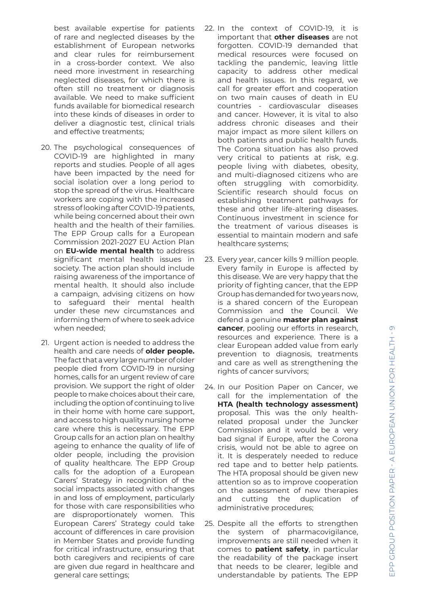best available expertise for patients of rare and neglected diseases by the establishment of European networks and clear rules for reimbursement in a cross-border context. We also need more investment in researching neglected diseases, for which there is often still no treatment or diagnosis available. We need to make sufficient funds available for biomedical research into these kinds of diseases in order to deliver a diagnostic test, clinical trials and effective treatments;

- 20. The psychological consequences of COVID-19 are highlighted in many reports and studies. People of all ages have been impacted by the need for social isolation over a long period to stop the spread of the virus. Healthcare workers are coping with the increased stress of looking after COVID-19 patients, while being concerned about their own health and the health of their families. The EPP Group calls for a European Commission 2021-2027 EU Action Plan on **EU-wide mental health** to address significant mental health issues in society. The action plan should include raising awareness of the importance of mental health. It should also include a campaign, advising citizens on how to safeguard their mental health under these new circumstances and informing them of where to seek advice when needed;
- 21. Urgent action is needed to address the health and care needs of **older people.**  The fact that a very large number of older people died from COVID-19 in nursing homes, calls for an urgent review of care provision. We support the right of older people to make choices about their care, including the option of continuing to live in their home with home care support, and access to high quality nursing home care where this is necessary. The EPP Group calls for an action plan on healthy ageing to enhance the quality of life of older people, including the provision of quality healthcare. The EPP Group calls for the adoption of a European Carers' Strategy in recognition of the social impacts associated with changes in and loss of employment, particularly for those with care responsibilities who are disproportionately women. This European Carers' Strategy could take account of differences in care provision in Member States and provide funding for critical infrastructure, ensuring that both caregivers and recipients of care are given due regard in healthcare and general care settings;
- 22. In the context of COVID-19, it is important that **other diseases** are not forgotten. COVID-19 demanded that medical resources were focused on tackling the pandemic, leaving little capacity to address other medical and health issues. In this regard, we call for greater effort and cooperation on two main causes of death in EU countries - cardiovascular diseases and cancer. However, it is vital to also address chronic diseases and their major impact as more silent killers on both patients and public health funds. The Corona situation has also proved very critical to patients at risk, e.g. people living with diabetes, obesity, and multi-diagnosed citizens who are often struggling with comorbidity. Scientific research should focus on establishing treatment pathways for these and other life-altering diseases. Continuous investment in science for the treatment of various diseases is essential to maintain modern and safe healthcare systems;
- 23. Every year, cancer kills 9 million people. Every family in Europe is affected by this disease. We are very happy that the priority of fighting cancer, that the EPP Group has demanded for two years now, is a shared concern of the European Commission and the Council. We defend a genuine **master plan against cancer**, pooling our efforts in research, resources and experience. There is a clear European added value from early prevention to diagnosis, treatments and care as well as strengthening the rights of cancer survivors;
- 24. In our Position Paper on Cancer, we call for the implementation of the **HTA (health technology assessment)**  proposal. This was the only healthrelated proposal under the Juncker Commission and it would be a very bad signal if Europe, after the Corona crisis, would not be able to agree on it. It is desperately needed to reduce red tape and to better help patients. The HTA proposal should be given new attention so as to improve cooperation on the assessment of new therapies and cutting the duplication of administrative procedures;
- 25. Despite all the efforts to strengthen the system of pharmacovigilance, improvements are still needed when it comes to **patient safety**, in particular the readability of the package insert that needs to be clearer, legible and understandable by patients. The EPP